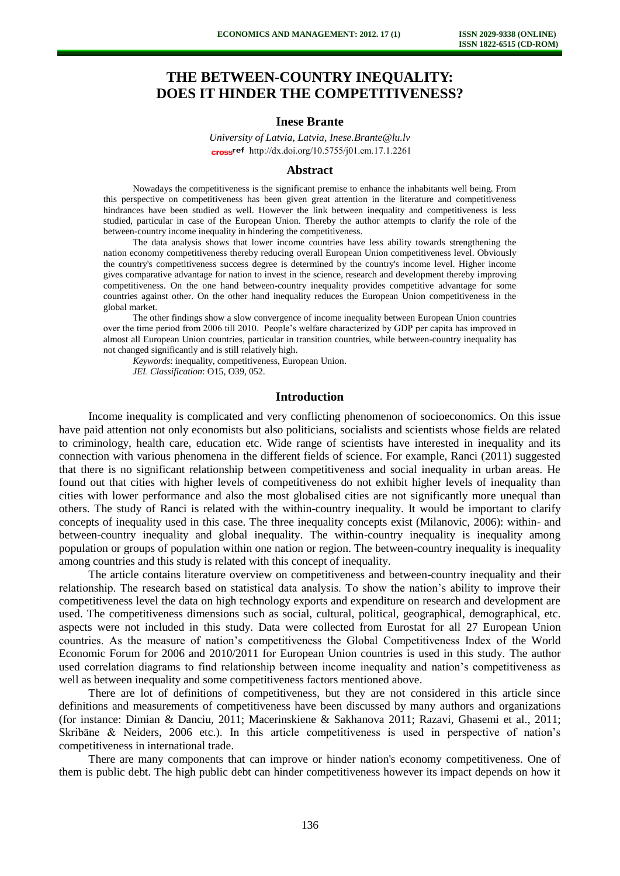# **THE BETWEEN-COUNTRY INEQUALITY: DOES IT HINDER THE COMPETITIVENESS?**

# **Inese Brante**

*University of Latvia, Latvia, Inese.Brante@lu.lv*  cross<sup>ref</sup> [http://dx.doi.org/10.5755/j01.e](http://dx.doi.org/10.5755/j01.em.17.1.2261)m.17.1.2261

#### **Abstract**

Nowadays the competitiveness is the significant premise to enhance the inhabitants well being. From this perspective on competitiveness has been given great attention in the literature and competitiveness hindrances have been studied as well. However the link between inequality and competitiveness is less studied, particular in case of the European Union. Thereby the author attempts to clarify the role of the between-country income inequality in hindering the competitiveness.

The data analysis shows that lower income countries have less ability towards strengthening the nation economy competitiveness thereby reducing overall European Union competitiveness level. Obviously the country's competitiveness success degree is determined by the country's income level. Higher income gives comparative advantage for nation to invest in the science, research and development thereby improving competitiveness. On the one hand between-country inequality provides competitive advantage for some countries against other. On the other hand inequality reduces the European Union competitiveness in the global market.

The other findings show a slow convergence of income inequality between European Union countries over the time period from 2006 till 2010. People's welfare characterized by GDP per capita has improved in almost all European Union countries, particular in transition countries, while between-country inequality has not changed significantly and is still relatively high.

*Keywords*: inequality, competitiveness, European Union. *JEL Classification*: O15, O39, 052.

#### **Introduction**

Income inequality is complicated and very conflicting phenomenon of socioeconomics. On this issue have paid attention not only economists but also politicians, socialists and scientists whose fields are related to criminology, health care, education etc. Wide range of scientists have interested in inequality and its connection with various phenomena in the different fields of science. For example, Ranci (2011) suggested that there is no significant relationship between competitiveness and social inequality in urban areas. He found out that cities with higher levels of competitiveness do not exhibit higher levels of inequality than cities with lower performance and also the most globalised cities are not significantly more unequal than others. The study of Ranci is related with the within-country inequality. It would be important to clarify concepts of inequality used in this case. The three inequality concepts exist (Milanovic, 2006): within- and between-country inequality and global inequality. The within-country inequality is inequality among population or groups of population within one nation or region. The between-country inequality is inequality among countries and this study is related with this concept of inequality.

The article contains literature overview on competitiveness and between-country inequality and their relationship. The research based on statistical data analysis. To show the nation's ability to improve their competitiveness level the data on high technology exports and expenditure on research and development are used. The competitiveness dimensions such as social, cultural, political, geographical, demographical, etc. aspects were not included in this study. Data were collected from Eurostat for all 27 European Union countries. As the measure of nation's competitiveness the Global Competitiveness Index of the World Economic Forum for 2006 and 2010/2011 for European Union countries is used in this study. The author used correlation diagrams to find relationship between income inequality and nation's competitiveness as well as between inequality and some competitiveness factors mentioned above.

There are lot of definitions of competitiveness, but they are not considered in this article since definitions and measurements of competitiveness have been discussed by many authors and organizations (for instance: Dimian & Danciu, 2011; Macerinskiene & Sakhanova 2011; Razavi, Ghasemi et al., 2011; Skribāne & Neiders, 2006 etc.). In this article competitiveness is used in perspective of nation's competitiveness in international trade.

There are many components that can improve or hinder nation's economy competitiveness. One of them is public debt. The high public debt can hinder competitiveness however its impact depends on how it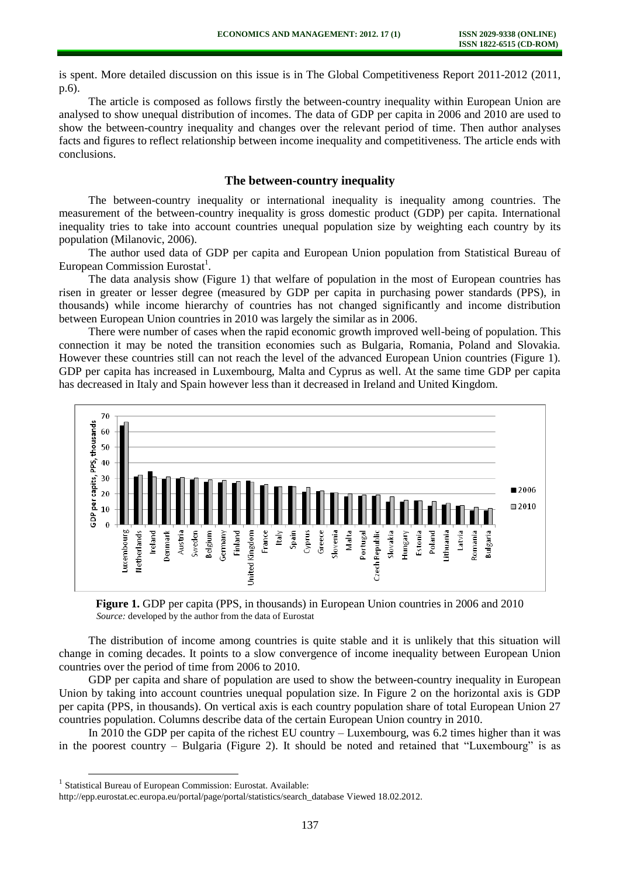is spent. More detailed discussion on this issue is in The Global Competitiveness Report 2011-2012 (2011, p.6).

The article is composed as follows firstly the between-country inequality within European Union are analysed to show unequal distribution of incomes. The data of GDP per capita in 2006 and 2010 are used to show the between-country inequality and changes over the relevant period of time. Then author analyses facts and figures to reflect relationship between income inequality and competitiveness. The article ends with conclusions.

## **The between-country inequality**

The between-country inequality or international inequality is inequality among countries. The measurement of the between-country inequality is gross domestic product (GDP) per capita. International inequality tries to take into account countries unequal population size by weighting each country by its population (Milanovic, 2006).

The author used data of GDP per capita and European Union population from Statistical Bureau of European Commission Eurostat<sup>1</sup>.

The data analysis show (Figure 1) that welfare of population in the most of European countries has risen in greater or lesser degree (measured by GDP per capita in purchasing power standards (PPS), in thousands) while income hierarchy of countries has not changed significantly and income distribution between European Union countries in 2010 was largely the similar as in 2006.

There were number of cases when the rapid economic growth improved well-being of population. This connection it may be noted the transition economies such as Bulgaria, Romania, Poland and Slovakia. However these countries still can not reach the level of the advanced European Union countries (Figure 1). GDP per capita has increased in Luxembourg, Malta and Cyprus as well. At the same time GDP per capita has decreased in Italy and Spain however less than it decreased in Ireland and United Kingdom.



**Figure 1.** GDP per capita (PPS, in thousands) in European Union countries in 2006 and 2010 *Source:* developed by the author from the data of Eurostat

The distribution of income among countries is quite stable and it is unlikely that this situation will change in coming decades. It points to a slow convergence of income inequality between European Union countries over the period of time from 2006 to 2010.

GDP per capita and share of population are used to show the between-country inequality in European Union by taking into account countries unequal population size. In Figure 2 on the horizontal axis is GDP per capita (PPS, in thousands). On vertical axis is each country population share of total European Union 27 countries population. Columns describe data of the certain European Union country in 2010.

In 2010 the GDP per capita of the richest EU country – Luxembourg, was 6.2 times higher than it was in the poorest country – Bulgaria (Figure 2). It should be noted and retained that "Luxembourg" is as

l

<sup>&</sup>lt;sup>1</sup> Statistical Bureau of European Commission: Eurostat. Available:

[http://epp.eurostat.ec.europa.eu/portal/page/portal/statistics/search\\_database V](http://epp.eurostat.ec.europa.eu/portal/page/portal/statistics/search_database)iewed 18.02.2012.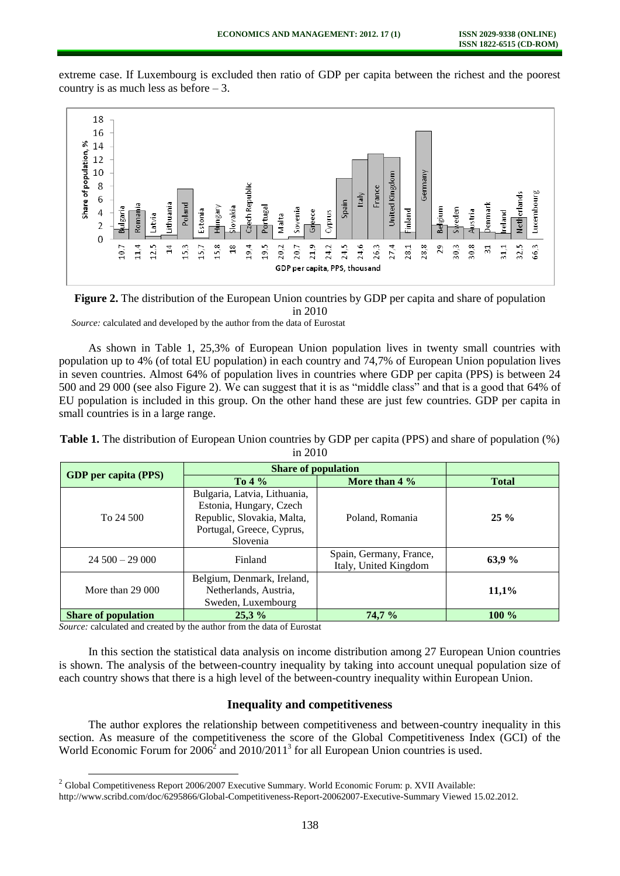extreme case. If Luxembourg is excluded then ratio of GDP per capita between the richest and the poorest country is as much less as before – 3.





*Source:* calculated and developed by the author from the data of Eurostat

As shown in Table 1, 25,3% of European Union population lives in twenty small countries with population up to 4% (of total EU population) in each country and 74,7% of European Union population lives in seven countries. Almost 64% of population lives in countries where GDP per capita (PPS) is between 24 500 and 29 000 (see also Figure 2). We can suggest that it is as "middle class" and that is a good that 64% of EU population is included in this group. On the other hand these are just few countries. GDP per capita in small countries is in a large range.

| <b>Table 1.</b> The distribution of European Union countries by GDP per capita (PPS) and share of population (%) |           |  |
|------------------------------------------------------------------------------------------------------------------|-----------|--|
|                                                                                                                  | in $2010$ |  |

| <b>GDP</b> per capita (PPS) | <b>Share of population</b>                                                                                                     |                                                  |              |
|-----------------------------|--------------------------------------------------------------------------------------------------------------------------------|--------------------------------------------------|--------------|
|                             | To $4\%$                                                                                                                       | More than $4\%$                                  | <b>Total</b> |
| To 24 500                   | Bulgaria, Latvia, Lithuania,<br>Estonia, Hungary, Czech<br>Republic, Slovakia, Malta,<br>Portugal, Greece, Cyprus,<br>Slovenia | Poland, Romania                                  | $25\%$       |
| $24,500 - 29,000$           | Finland                                                                                                                        | Spain, Germany, France,<br>Italy, United Kingdom | 63,9 %       |
| More than $29000$           | Belgium, Denmark, Ireland,<br>Netherlands, Austria,<br>Sweden, Luxembourg                                                      |                                                  | 11,1%        |
| <b>Share of population</b>  | 25,3%                                                                                                                          | 74,7%                                            | $100\%$      |

*Source:* calculated and created by the author from the data of Eurostat

l

In this section the statistical data analysis on income distribution among 27 European Union countries is shown. The analysis of the between-country inequality by taking into account unequal population size of each country shows that there is a high level of the between-country inequality within European Union.

#### **Inequality and competitiveness**

The author explores the relationship between competitiveness and between-country inequality in this section. As measure of the competitiveness the score of the Global Competitiveness Index (GCI) of the World Economic Forum for  $2006<sup>2</sup>$  and  $2010/2011<sup>3</sup>$  for all European Union countries is used.

 $2$  Global Competitiveness Report 2006/2007 Executive Summary. World Economic Forum: p. XVII Available:

[http://www.scribd.com/doc/6295866/Global-Competitiveness-Report-20062007-Executive-Summary V](http://www.scribd.com/doc/6295866/Global-Competitiveness-Report-20062007-Executive-Summary)iewed 15.02.2012.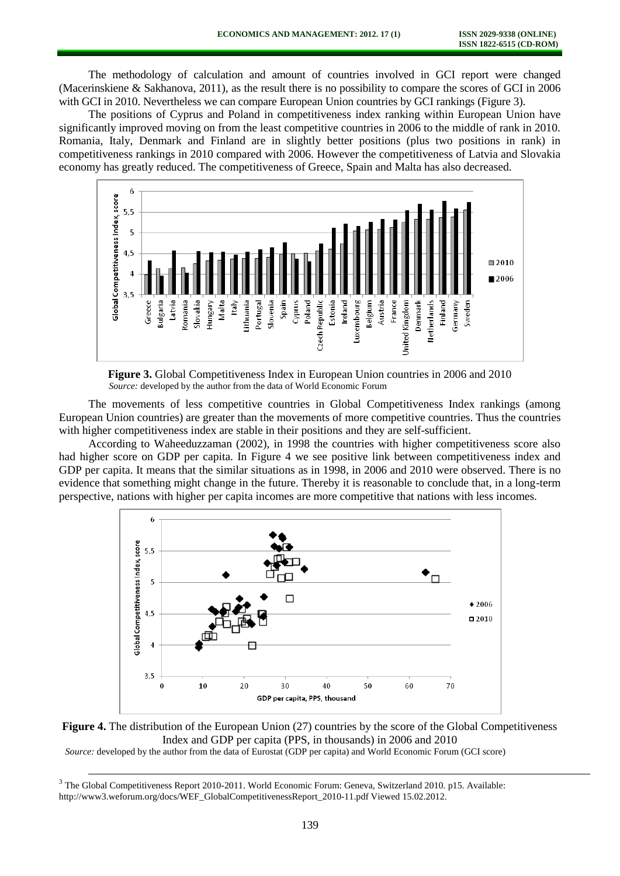The methodology of calculation and amount of countries involved in GCI report were changed (Macerinskiene & Sakhanova, 2011), as the result there is no possibility to compare the scores of GCI in 2006 with GCI in 2010. Nevertheless we can compare European Union countries by GCI rankings (Figure 3).

The positions of Cyprus and Poland in competitiveness index ranking within European Union have significantly improved moving on from the least competitive countries in 2006 to the middle of rank in 2010. Romania, Italy, Denmark and Finland are in slightly better positions (plus two positions in rank) in competitiveness rankings in 2010 compared with 2006. However the competitiveness of Latvia and Slovakia economy has greatly reduced. The competitiveness of Greece, Spain and Malta has also decreased.



**Figure 3.** Global Competitiveness Index in European Union countries in 2006 and 2010 *Source:* developed by the author from the data of World Economic Forum

The movements of less competitive countries in Global Competitiveness Index rankings (among European Union countries) are greater than the movements of more competitive countries. Thus the countries with higher competitiveness index are stable in their positions and they are self-sufficient.

According to Waheeduzzaman (2002), in 1998 the countries with higher competitiveness score also had higher score on GDP per capita. In Figure 4 we see positive link between competitiveness index and GDP per capita. It means that the similar situations as in 1998, in 2006 and 2010 were observed. There is no evidence that something might change in the future. Thereby it is reasonable to conclude that, in a long-term perspective, nations with higher per capita incomes are more competitive that nations with less incomes.





*Source:* developed by the author from the data of Eurostat (GDP per capita) and World Economic Forum (GCI score)

<u>.</u>

<sup>&</sup>lt;sup>3</sup> The Global Competitiveness Report 2010-2011. World Economic Forum: Geneva, Switzerland 2010. p15. Available: [http://www3.weforum.org/docs/WEF\\_GlobalCompetitivenessReport\\_2010-11.pdf](http://www3.weforum.org/docs/WEF_GlobalCompetitivenessReport_2010-11.pdf) Viewed 15.02.2012.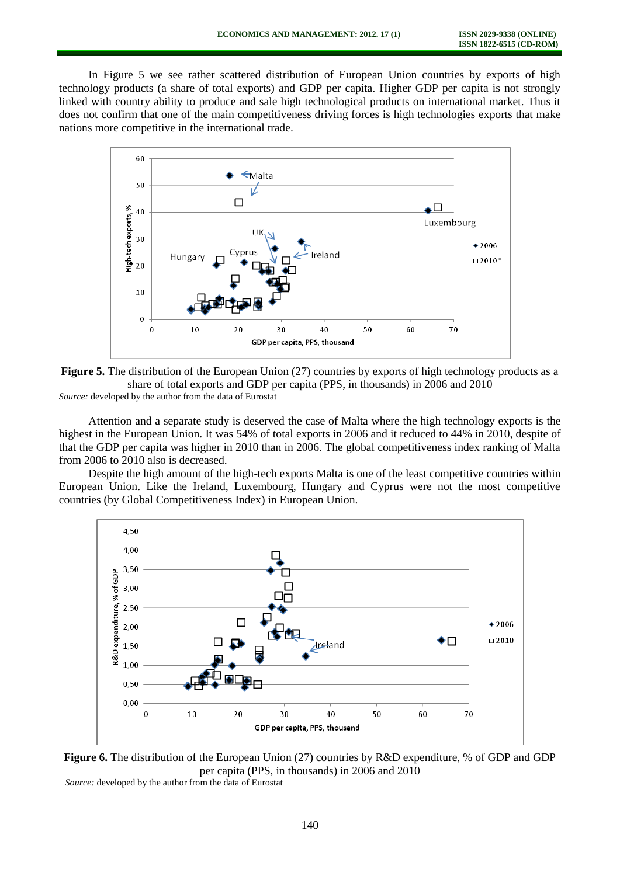In Figure 5 we see rather scattered distribution of European Union countries by exports of high technology products (a share of total exports) and GDP per capita. Higher GDP per capita is not strongly linked with country ability to produce and sale high technological products on international market. Thus it does not confirm that one of the main competitiveness driving forces is high technologies exports that make nations more competitive in the international trade.





Attention and a separate study is deserved the case of Malta where the high technology exports is the highest in the European Union. It was 54% of total exports in 2006 and it reduced to 44% in 2010, despite of that the GDP per capita was higher in 2010 than in 2006. The global competitiveness index ranking of Malta from 2006 to 2010 also is decreased.

Despite the high amount of the high-tech exports Malta is one of the least competitive countries within European Union. Like the Ireland, Luxembourg, Hungary and Cyprus were not the most competitive countries (by Global Competitiveness Index) in European Union.





*Source:* developed by the author from the data of Eurostat